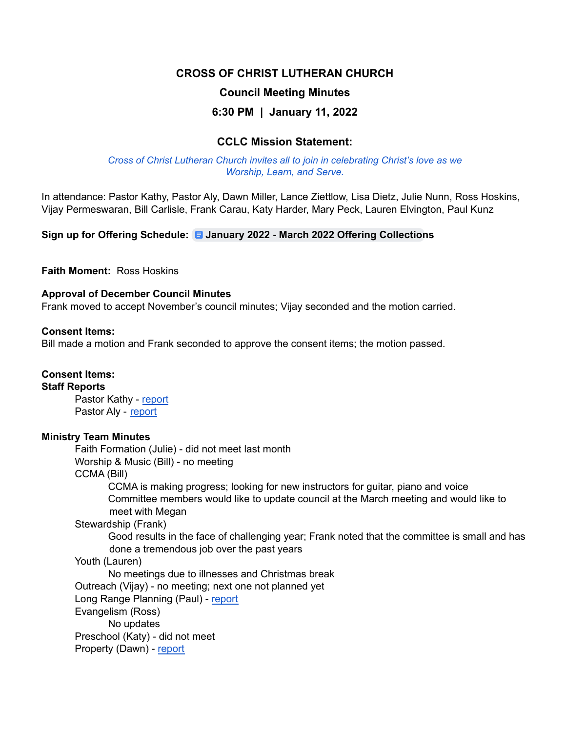## **CROSS OF CHRIST LUTHERAN CHURCH**

## **Council Meeting Minutes**

## **6:30 PM | January 11, 2022**

## **CCLC Mission Statement:**

*Cross of Christ Lutheran Church invites all to join in celebrating Christ's love as we Worship, Learn, and Serve.*

In attendance: Pastor Kathy, Pastor Aly, Dawn Miller, Lance Ziettlow, Lisa Dietz, Julie Nunn, Ross Hoskins, Vijay Permeswaran, Bill Carlisle, Frank Carau, Katy Harder, Mary Peck, Lauren Elvington, Paul Kunz

**Sign up for Offering Schedule: January 2022 - March 2022 Offering [Collection](https://docs.google.com/document/d/1zNCBLqesGXSCXoNwUEkVKVUrMAnENcT5sBfHu2lniGI/edit)s**

**Faith Moment:** Ross Hoskins

#### **Approval of December Council Minutes**

Frank moved to accept November's council minutes; Vijay seconded and the motion carried.

#### **Consent Items:**

Bill made a motion and Frank seconded to approve the consent items; the motion passed.

#### **Consent Items:**

**Staff Reports**

Pastor Kathy - [report](https://docs.google.com/document/d/1AaSaV3oITqQlDd92oOvzyxggigRsV8X0/edit) Pastor Aly - [report](https://drive.google.com/drive/folders/14HFBNt_yNGJZ1RvqhyWMcSlhTtQ2xb77)

#### **Ministry Team Minutes**

Faith Formation (Julie) - did not meet last month Worship & Music (Bill) - no meeting CCMA (Bill) CCMA is making progress; looking for new instructors for guitar, piano and voice Committee members would like to update council at the March meeting and would like to meet with Megan Stewardship (Frank) Good results in the face of challenging year; Frank noted that the committee is small and has done a tremendous job over the past years Youth (Lauren) No meetings due to illnesses and Christmas break Outreach (Vijay) - no meeting; next one not planned yet Long Range Planning (Paul) - [report](https://docs.google.com/document/d/1QrixYTC2IkmE7F8X9PHFMk2dzGsLQtCK/edit?rtpof=true) Evangelism (Ross) No updates Preschool (Katy) - did not meet Property (Dawn) - [report](https://docs.google.com/document/d/11NLDllUODiJSpgYKjXMypsgwVzQvdravkHKBMrU36LM/edit)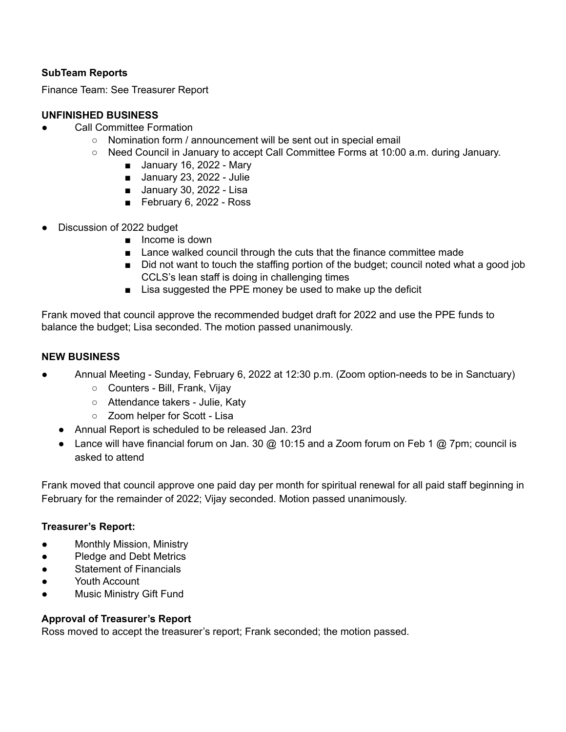## **SubTeam Reports**

Finance Team: See Treasurer Report

## **UNFINISHED BUSINESS**

- **Call Committee Formation** 
	- Nomination form / announcement will be sent out in special email
	- Need Council in January to accept Call Committee Forms at 10:00 a.m. during January.
		- January 16, 2022 Mary
		- January 23, 2022 Julie
		- January 30, 2022 Lisa
		- February 6, 2022 Ross
- Discussion of 2022 budget
	- Income is down
	- Lance walked council through the cuts that the finance committee made
	- Did not want to touch the staffing portion of the budget; council noted what a good job CCLS's lean staff is doing in challenging times
	- Lisa suggested the PPE money be used to make up the deficit

Frank moved that council approve the recommended budget draft for 2022 and use the PPE funds to balance the budget; Lisa seconded. The motion passed unanimously.

### **NEW BUSINESS**

- Annual Meeting Sunday, February 6, 2022 at 12:30 p.m. (Zoom option-needs to be in Sanctuary)
	- Counters Bill, Frank, Vijay
	- Attendance takers Julie, Katy
	- Zoom helper for Scott Lisa
	- Annual Report is scheduled to be released Jan. 23rd
	- Lance will have financial forum on Jan. 30 @ 10:15 and a Zoom forum on Feb 1 @ 7pm; council is asked to attend

Frank moved that council approve one paid day per month for spiritual renewal for all paid staff beginning in February for the remainder of 2022; Vijay seconded. Motion passed unanimously.

#### **Treasurer's Report:**

- Monthly Mission, Ministry
- Pledge and Debt Metrics
- **Statement of Financials**
- Youth Account
- **Music Ministry Gift Fund**

#### **Approval of Treasurer's Report**

Ross moved to accept the treasurer's report; Frank seconded; the motion passed.